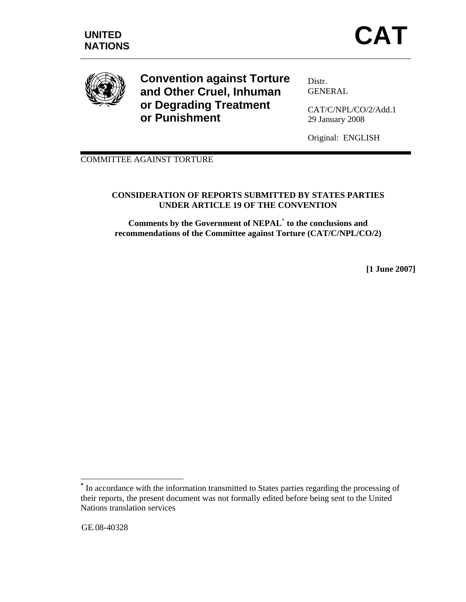

**Convention against Torture and Other Cruel, Inhuman or Degrading Treatment or Punishment** 

Distr. GENERAL

CAT/C/NPL/CO/2/Add.1 29 January 2008

Original: ENGLISH

COMMITTEE AGAINST TORTURE

# **CONSIDERATION OF REPORTS SUBMITTED BY STATES PARTIES UNDER ARTICLE 19 OF THE CONVENTION**

**Comments by the Government of NEPAL**\*  **to the conclusions and recommendations of the Committee against Torture (CAT/C/NPL/CO/2)** 

**[1 June 2007]** 

GE.08-40328

 $\overline{a}$ 

**<sup>\*</sup>** In accordance with the information transmitted to States parties regarding the processing of their reports, the present document was not formally edited before being sent to the United Nations translation services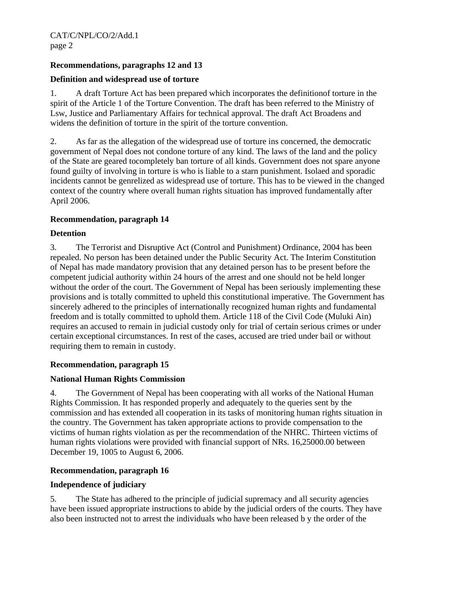# **Recommendations, paragraphs 12 and 13**

# **Definition and widespread use of torture**

1. A draft Torture Act has been prepared which incorporates the definitionof torture in the spirit of the Article 1 of the Torture Convention. The draft has been referred to the Ministry of Lsw, Justice and Parliamentary Affairs for technical approval. The draft Act Broadens and widens the definition of torture in the spirit of the torture convention.

2. As far as the allegation of the widespread use of torture ins concerned, the democratic government of Nepal does not condone torture of any kind. The laws of the land and the policy of the State are geared tocompletely ban torture of all kinds. Government does not spare anyone found guilty of involving in torture is who is liable to a starn punishment. Isolaed and sporadic incidents cannot be genrelized as widespread use of torture. This has to be viewed in the changed context of the country where overall human rights situation has improved fundamentally after April 2006.

# **Recommendation, paragraph 14**

## **Detention**

3. The Terrorist and Disruptive Act (Control and Punishment) Ordinance, 2004 has been repealed. No person has been detained under the Public Security Act. The Interim Constitution of Nepal has made mandatory provision that any detained person has to be present before the competent judicial authority within 24 hours of the arrest and one should not be held longer without the order of the court. The Government of Nepal has been seriously implementing these provisions and is totally committed to upheld this constitutional imperative. The Government has sincerely adhered to the principles of internationally recognized human rights and fundamental freedom and is totally committed to uphold them. Article 118 of the Civil Code (Muluki Ain) requires an accused to remain in judicial custody only for trial of certain serious crimes or under certain exceptional circumstances. In rest of the cases, accused are tried under bail or without requiring them to remain in custody.

# **Recommendation, paragraph 15**

# **National Human Rights Commission**

4. The Government of Nepal has been cooperating with all works of the National Human Rights Commission. It has responded properly and adequately to the queries sent by the commission and has extended all cooperation in its tasks of monitoring human rights situation in the country. The Government has taken appropriate actions to provide compensation to the victims of human rights violation as per the recommendation of the NHRC. Thirteen victims of human rights violations were provided with financial support of NRs. 16,25000.00 between December 19, 1005 to August 6, 2006.

# **Recommendation, paragraph 16**

#### **Independence of judiciary**

5. The State has adhered to the principle of judicial supremacy and all security agencies have been issued appropriate instructions to abide by the judicial orders of the courts. They have also been instructed not to arrest the individuals who have been released b y the order of the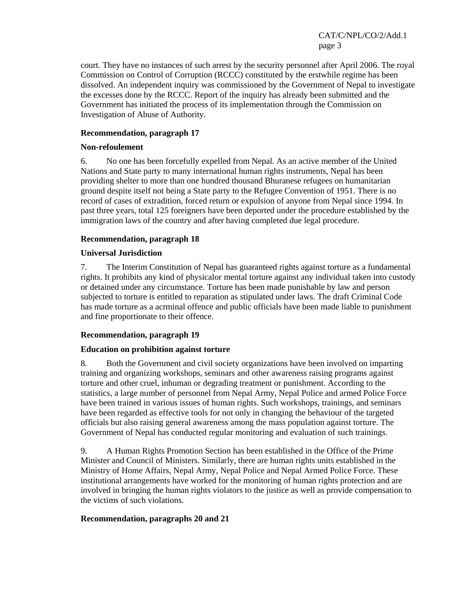CAT/C/NPL/CO/2/Add.1 page 3

court. They have no instances of such arrest by the security personnel after April 2006. The royal Commission on Control of Corruption (RCCC) constituted by the erstwhile regime has been dissolved. An independent inquiry was commissioned by the Government of Nepal to investigate the excesses done by the RCCC. Report of the inquiry has already been submitted and the Government has initiated the process of its implementation through the Commission on Investigation of Abuse of Authority.

## **Recommendation, paragraph 17**

### **Non-refoulement**

6. No one has been forcefully expelled from Nepal. As an active member of the United Nations and State party to many international human rights instruments, Nepal has been providing shelter to more than one hundred thousand Bhuranese refugees on humanitarian ground despite itself not being a State party to the Refugee Convention of 1951. There is no record of cases of extradition, forced return or expulsion of anyone from Nepal since 1994. In past three years, total 125 foreigners have been deported under the procedure established by the immigration laws of the country and after having completed due legal procedure.

## **Recommendation, paragraph 18**

# **Universal Jurisdiction**

7. The Interim Constitution of Nepal has guaranteed rights against torture as a fundamental rights. It prohibits any kind of physicalor mental torture against any individual taken into custody or detained under any circumstance. Torture has been made punishable by law and person subjected to torture is entitled to reparation as stipulated under laws. The draft Criminal Code has made torture as a acrminal offence and public officials have been made liable to punishment and fine proportionate to their offence.

# **Recommendation, paragraph 19**

#### **Education on prohibition against torture**

8. Both the Government and civil society organizations have been involved on imparting training and organizing workshops, seminars and other awareness raising programs against torture and other cruel, inhuman or degrading treatment or punishment. According to the statistics, a large number of personnel from Nepal Army, Nepal Police and armed Police Force have been trained in various issues of human rights. Such workshops, trainings, and seminars have been regarded as effective tools for not only in changing the behaviour of the targeted officials but also raising general awareness among the mass population against torture. The Government of Nepal has conducted regular monitoring and evaluation of such trainings.

9. A Human Rights Promotion Section has been established in the Office of the Prime Minister and Council of Ministers. Similarly, there are human rights units established in the Ministry of Home Affairs, Nepal Army, Nepal Police and Nepal Armed Police Force. These institutional arrangements have worked for the monitoring of human rights protection and are involved in bringing the human rights violators to the justice as well as provide compensation to the victims of such violations.

#### **Recommendation, paragraphs 20 and 21**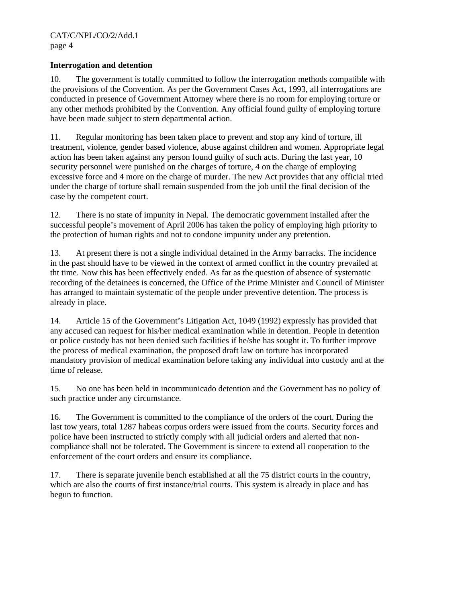## **Interrogation and detention**

10. The government is totally committed to follow the interrogation methods compatible with the provisions of the Convention. As per the Government Cases Act, 1993, all interrogations are conducted in presence of Government Attorney where there is no room for employing torture or any other methods prohibited by the Convention. Any official found guilty of employing torture have been made subject to stern departmental action.

11. Regular monitoring has been taken place to prevent and stop any kind of torture, ill treatment, violence, gender based violence, abuse against children and women. Appropriate legal action has been taken against any person found guilty of such acts. During the last year, 10 security personnel were punished on the charges of torture, 4 on the charge of employing excessive force and 4 more on the charge of murder. The new Act provides that any official tried under the charge of torture shall remain suspended from the job until the final decision of the case by the competent court.

12. There is no state of impunity in Nepal. The democratic government installed after the successful people's movement of April 2006 has taken the policy of employing high priority to the protection of human rights and not to condone impunity under any pretention.

13. At present there is not a single individual detained in the Army barracks. The incidence in the past should have to be viewed in the context of armed conflict in the country prevailed at tht time. Now this has been effectively ended. As far as the question of absence of systematic recording of the detainees is concerned, the Office of the Prime Minister and Council of Minister has arranged to maintain systematic of the people under preventive detention. The process is already in place.

14. Article 15 of the Government's Litigation Act, 1049 (1992) expressly has provided that any accused can request for his/her medical examination while in detention. People in detention or police custody has not been denied such facilities if he/she has sought it. To further improve the process of medical examination, the proposed draft law on torture has incorporated mandatory provision of medical examination before taking any individual into custody and at the time of release.

15. No one has been held in incommunicado detention and the Government has no policy of such practice under any circumstance.

16. The Government is committed to the compliance of the orders of the court. During the last tow years, total 1287 habeas corpus orders were issued from the courts. Security forces and police have been instructed to strictly comply with all judicial orders and alerted that noncompliance shall not be tolerated. The Government is sincere to extend all cooperation to the enforcement of the court orders and ensure its compliance.

17. There is separate juvenile bench established at all the 75 district courts in the country, which are also the courts of first instance/trial courts. This system is already in place and has begun to function.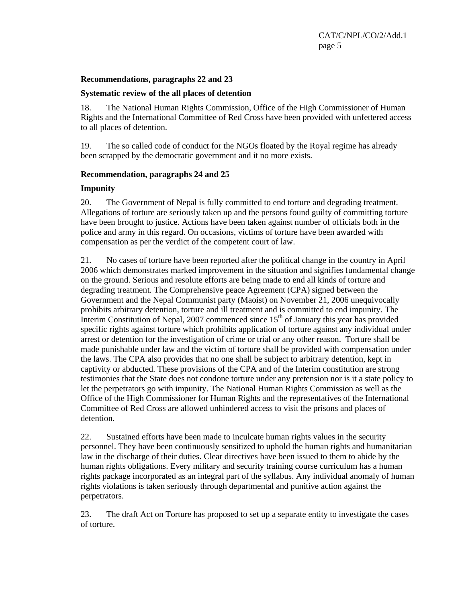#### **Recommendations, paragraphs 22 and 23**

#### **Systematic review of the all places of detention**

18. The National Human Rights Commission, Office of the High Commissioner of Human Rights and the International Committee of Red Cross have been provided with unfettered access to all places of detention.

19. The so called code of conduct for the NGOs floated by the Royal regime has already been scrapped by the democratic government and it no more exists.

#### **Recommendation, paragraphs 24 and 25**

#### **Impunity**

20. The Government of Nepal is fully committed to end torture and degrading treatment. Allegations of torture are seriously taken up and the persons found guilty of committing torture have been brought to justice. Actions have been taken against number of officials both in the police and army in this regard. On occasions, victims of torture have been awarded with compensation as per the verdict of the competent court of law.

21. No cases of torture have been reported after the political change in the country in April 2006 which demonstrates marked improvement in the situation and signifies fundamental change on the ground. Serious and resolute efforts are being made to end all kinds of torture and degrading treatment. The Comprehensive peace Agreement (CPA) signed between the Government and the Nepal Communist party (Maoist) on November 21, 2006 unequivocally prohibits arbitrary detention, torture and ill treatment and is committed to end impunity. The Interim Constitution of Nepal, 2007 commenced since  $15<sup>th</sup>$  of January this year has provided specific rights against torture which prohibits application of torture against any individual under arrest or detention for the investigation of crime or trial or any other reason. Torture shall be made punishable under law and the victim of torture shall be provided with compensation under the laws. The CPA also provides that no one shall be subject to arbitrary detention, kept in captivity or abducted. These provisions of the CPA and of the Interim constitution are strong testimonies that the State does not condone torture under any pretension nor is it a state policy to let the perpetrators go with impunity. The National Human Rights Commission as well as the Office of the High Commissioner for Human Rights and the representatives of the International Committee of Red Cross are allowed unhindered access to visit the prisons and places of detention.

22. Sustained efforts have been made to inculcate human rights values in the security personnel. They have been continuously sensitized to uphold the human rights and humanitarian law in the discharge of their duties. Clear directives have been issued to them to abide by the human rights obligations. Every military and security training course curriculum has a human rights package incorporated as an integral part of the syllabus. Any individual anomaly of human rights violations is taken seriously through departmental and punitive action against the perpetrators.

23. The draft Act on Torture has proposed to set up a separate entity to investigate the cases of torture.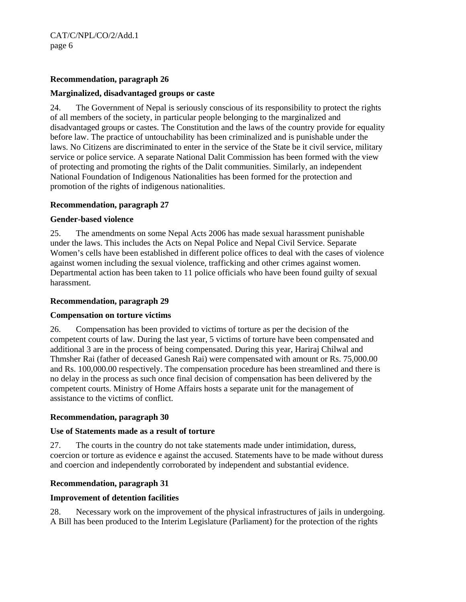CAT/C/NPL/CO/2/Add.1 page 6

## **Recommendation, paragraph 26**

## **Marginalized, disadvantaged groups or caste**

24. The Government of Nepal is seriously conscious of its responsibility to protect the rights of all members of the society, in particular people belonging to the marginalized and disadvantaged groups or castes. The Constitution and the laws of the country provide for equality before law. The practice of untouchability has been criminalized and is punishable under the laws. No Citizens are discriminated to enter in the service of the State be it civil service, military service or police service. A separate National Dalit Commission has been formed with the view of protecting and promoting the rights of the Dalit communities. Similarly, an independent National Foundation of Indigenous Nationalities has been formed for the protection and promotion of the rights of indigenous nationalities.

## **Recommendation, paragraph 27**

#### **Gender-based violence**

25. The amendments on some Nepal Acts 2006 has made sexual harassment punishable under the laws. This includes the Acts on Nepal Police and Nepal Civil Service. Separate Women's cells have been established in different police offices to deal with the cases of violence against women including the sexual violence, trafficking and other crimes against women. Departmental action has been taken to 11 police officials who have been found guilty of sexual harassment.

## **Recommendation, paragraph 29**

#### **Compensation on torture victims**

26. Compensation has been provided to victims of torture as per the decision of the competent courts of law. During the last year, 5 victims of torture have been compensated and additional 3 are in the process of being compensated. During this year, Hariraj Chilwal and Thmsher Rai (father of deceased Ganesh Rai) were compensated with amount or Rs. 75,000.00 and Rs. 100,000.00 respectively. The compensation procedure has been streamlined and there is no delay in the process as such once final decision of compensation has been delivered by the competent courts. Ministry of Home Affairs hosts a separate unit for the management of assistance to the victims of conflict.

#### **Recommendation, paragraph 30**

#### **Use of Statements made as a result of torture**

27. The courts in the country do not take statements made under intimidation, duress, coercion or torture as evidence e against the accused. Statements have to be made without duress and coercion and independently corroborated by independent and substantial evidence.

# **Recommendation, paragraph 31**

#### **Improvement of detention facilities**

28. Necessary work on the improvement of the physical infrastructures of jails in undergoing. A Bill has been produced to the Interim Legislature (Parliament) for the protection of the rights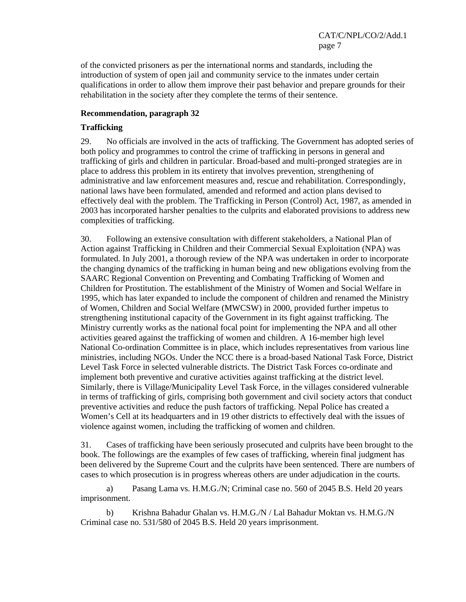of the convicted prisoners as per the international norms and standards, including the introduction of system of open jail and community service to the inmates under certain qualifications in order to allow them improve their past behavior and prepare grounds for their rehabilitation in the society after they complete the terms of their sentence.

## **Recommendation, paragraph 32**

## **Trafficking**

29. No officials are involved in the acts of trafficking. The Government has adopted series of both policy and programmes to control the crime of trafficking in persons in general and trafficking of girls and children in particular. Broad-based and multi-pronged strategies are in place to address this problem in its entirety that involves prevention, strengthening of administrative and law enforcement measures and, rescue and rehabilitation. Correspondingly, national laws have been formulated, amended and reformed and action plans devised to effectively deal with the problem. The Trafficking in Person (Control) Act, 1987, as amended in 2003 has incorporated harsher penalties to the culprits and elaborated provisions to address new complexities of trafficking.

30. Following an extensive consultation with different stakeholders, a National Plan of Action against Trafficking in Children and their Commercial Sexual Exploitation (NPA) was formulated. In July 2001, a thorough review of the NPA was undertaken in order to incorporate the changing dynamics of the trafficking in human being and new obligations evolving from the SAARC Regional Convention on Preventing and Combating Trafficking of Women and Children for Prostitution. The establishment of the Ministry of Women and Social Welfare in 1995, which has later expanded to include the component of children and renamed the Ministry of Women, Children and Social Welfare (MWCSW) in 2000, provided further impetus to strengthening institutional capacity of the Government in its fight against trafficking. The Ministry currently works as the national focal point for implementing the NPA and all other activities geared against the trafficking of women and children. A 16-member high level National Co-ordination Committee is in place, which includes representatives from various line ministries, including NGOs. Under the NCC there is a broad-based National Task Force, District Level Task Force in selected vulnerable districts. The District Task Forces co-ordinate and implement both preventive and curative activities against trafficking at the district level. Similarly, there is Village/Municipality Level Task Force, in the villages considered vulnerable in terms of trafficking of girls, comprising both government and civil society actors that conduct preventive activities and reduce the push factors of trafficking. Nepal Police has created a Women's Cell at its headquarters and in 19 other districts to effectively deal with the issues of violence against women, including the trafficking of women and children.

31. Cases of trafficking have been seriously prosecuted and culprits have been brought to the book. The followings are the examples of few cases of trafficking, wherein final judgment has been delivered by the Supreme Court and the culprits have been sentenced. There are numbers of cases to which prosecution is in progress whereas others are under adjudication in the courts.

a) Pasang Lama vs. H.M.G./N; Criminal case no. 560 of 2045 B.S. Held 20 years imprisonment.

b) Krishna Bahadur Ghalan vs. H.M.G./N / Lal Bahadur Moktan vs. H.M.G./N Criminal case no. 531/580 of 2045 B.S. Held 20 years imprisonment.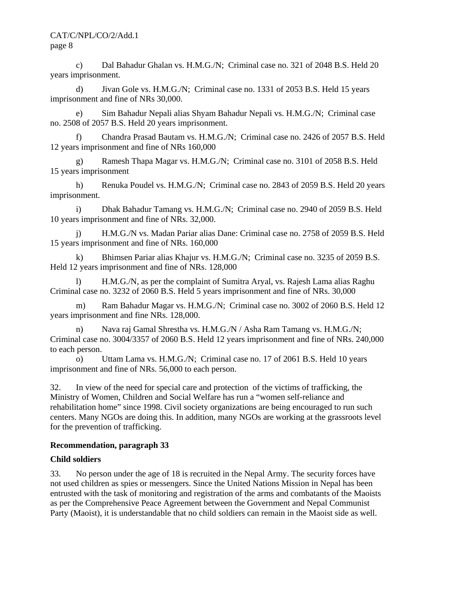CAT/C/NPL/CO/2/Add.1 page 8

c) Dal Bahadur Ghalan vs. H.M.G./N; Criminal case no. 321 of 2048 B.S. Held 20 years imprisonment.

d) Jivan Gole vs. H.M.G./N; Criminal case no. 1331 of 2053 B.S. Held 15 years imprisonment and fine of NRs 30,000.

e) Sim Bahadur Nepali alias Shyam Bahadur Nepali vs. H.M.G./N; Criminal case no. 2508 of 2057 B.S. Held 20 years imprisonment.

f) Chandra Prasad Bautam vs. H.M.G./N; Criminal case no. 2426 of 2057 B.S. Held 12 years imprisonment and fine of NRs 160,000

g) Ramesh Thapa Magar vs. H.M.G./N; Criminal case no. 3101 of 2058 B.S. Held 15 years imprisonment

h) Renuka Poudel vs. H.M.G./N; Criminal case no. 2843 of 2059 B.S. Held 20 years imprisonment.

i) Dhak Bahadur Tamang vs. H.M.G./N; Criminal case no. 2940 of 2059 B.S. Held 10 years imprisonment and fine of NRs. 32,000.

j) H.M.G./N vs. Madan Pariar alias Dane: Criminal case no. 2758 of 2059 B.S. Held 15 years imprisonment and fine of NRs. 160,000

k) Bhimsen Pariar alias Khajur vs. H.M.G./N; Criminal case no. 3235 of 2059 B.S. Held 12 years imprisonment and fine of NRs. 128,000

l) H.M.G./N, as per the complaint of Sumitra Aryal, vs. Rajesh Lama alias Raghu Criminal case no. 3232 of 2060 B.S. Held 5 years imprisonment and fine of NRs. 30,000

m) Ram Bahadur Magar vs. H.M.G./N; Criminal case no. 3002 of 2060 B.S. Held 12 years imprisonment and fine NRs. 128,000.

n) Nava raj Gamal Shrestha vs. H.M.G./N / Asha Ram Tamang vs. H.M.G./N; Criminal case no. 3004/3357 of 2060 B.S. Held 12 years imprisonment and fine of NRs. 240,000 to each person.

o) Uttam Lama vs. H.M.G./N; Criminal case no. 17 of 2061 B.S. Held 10 years imprisonment and fine of NRs. 56,000 to each person.

32. In view of the need for special care and protection of the victims of trafficking, the Ministry of Women, Children and Social Welfare has run a "women self-reliance and rehabilitation home" since 1998. Civil society organizations are being encouraged to run such centers. Many NGOs are doing this. In addition, many NGOs are working at the grassroots level for the prevention of trafficking.

#### **Recommendation, paragraph 33**

#### **Child soldiers**

33. No person under the age of 18 is recruited in the Nepal Army. The security forces have not used children as spies or messengers. Since the United Nations Mission in Nepal has been entrusted with the task of monitoring and registration of the arms and combatants of the Maoists as per the Comprehensive Peace Agreement between the Government and Nepal Communist Party (Maoist), it is understandable that no child soldiers can remain in the Maoist side as well.